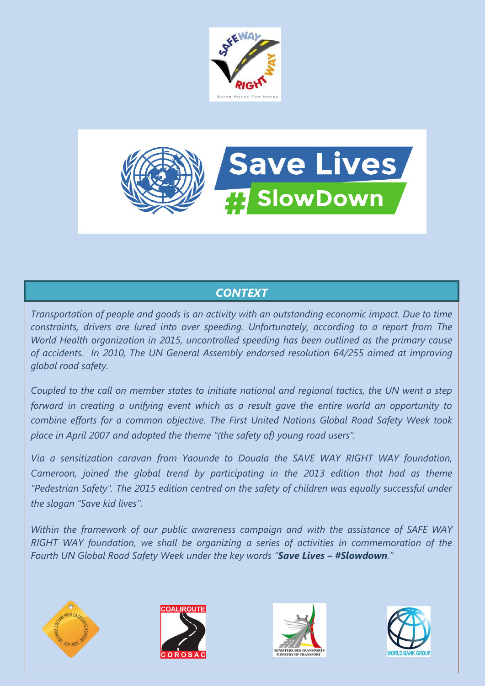



## *CONTEXT*

*Transportation of people and goods is an activity with an outstanding economic impact. Due to time constraints, drivers are lured into over speeding. Unfortunately, according to a report from The World Health organization in 2015, uncontrolled speeding has been outlined as the primary cause of accidents. In 2010, The UN General Assembly endorsed resolution 64/255 aimed at improving global road safety.*

*Coupled to the call on member states to initiate national and regional tactics, the UN went a step forward in creating a unifying event which as a result gave the entire world an opportunity to combine efforts for a common objective. The First United Nations Global Road Safety Week took place in April 2007 and adopted the theme "(the safety of) young road users".*

*Via a sensitization caravan from Yaounde to Douala the SAVE WAY RIGHT WAY foundation, Cameroon, joined the global trend by participating in the 2013 edition that had as theme "Pedestrian Safety". The 2015 edition centred on the safety of children was equally successful under the slogan "Save kid lives''.*

*Within the framework of our public awareness campaign and with the assistance of SAFE WAY RIGHT WAY foundation, we shall be organizing a series of activities in commemoration of the Fourth UN Global Road Safety Week under the key words "Save Lives – #Slowdown."*